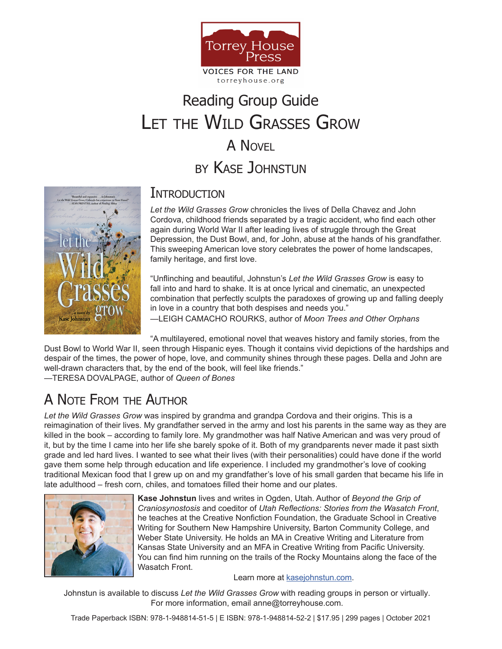

#### torreyhouse.org

# LET THE WILD GRASSES GROW A NOVEL Reading Group Guide by Kase Johnstun



### Introduction

*Let the Wild Grasses Grow* chronicles the lives of Della Chavez and John Cordova, childhood friends separated by a tragic accident, who find each other again during World War II after leading lives of struggle through the Great Depression, the Dust Bowl, and, for John, abuse at the hands of his grandfather. This sweeping American love story celebrates the power of home landscapes, family heritage, and first love.

"Unflinching and beautiful, Johnstun's *Let the Wild Grasses Grow* is easy to fall into and hard to shake. It is at once lyrical and cinematic, an unexpected combination that perfectly sculpts the paradoxes of growing up and falling deeply in love in a country that both despises and needs you."

—LEIGH CAMACHO ROURKS, author of *Moon Trees and Other Orphans*

"A multilayered, emotional novel that weaves history and family stories, from the

Dust Bowl to World War II, seen through Hispanic eyes. Though it contains vivid depictions of the hardships and despair of the times, the power of hope, love, and community shines through these pages. Della and John are well-drawn characters that, by the end of the book, will feel like friends."

—TERESA DOVALPAGE, author of *Queen of Bones*

## A Note From the Author

*Let the Wild Grasses Grow* was inspired by grandma and grandpa Cordova and their origins. This is a reimagination of their lives. My grandfather served in the army and lost his parents in the same way as they are killed in the book – according to family lore. My grandmother was half Native American and was very proud of it, but by the time I came into her life she barely spoke of it. Both of my grandparents never made it past sixth grade and led hard lives. I wanted to see what their lives (with their personalities) could have done if the world gave them some help through education and life experience. I included my grandmother's love of cooking traditional Mexican food that I grew up on and my grandfather's love of his small garden that became his life in late adulthood – fresh corn, chiles, and tomatoes filled their home and our plates.



**Kase Johnstun** lives and writes in Ogden, Utah. Author of *Beyond the Grip of Craniosynostosis* and coeditor of *Utah Reflections: Stories from the Wasatch Front*, he teaches at the Creative Nonfiction Foundation, the Graduate School in Creative Writing for Southern New Hampshire University, Barton Community College, and Weber State University. He holds an MA in Creative Writing and Literature from Kansas State University and an MFA in Creative Writing from Pacific University. You can find him running on the trails of the Rocky Mountains along the face of the Wasatch Front.

Learn more at [kasejohnstun.com](http://kasejohnstun.com/).

Johnstun is available to discuss *Let the Wild Grasses Grow* with reading groups in person or virtually. For more information, email anne@torreyhouse.com.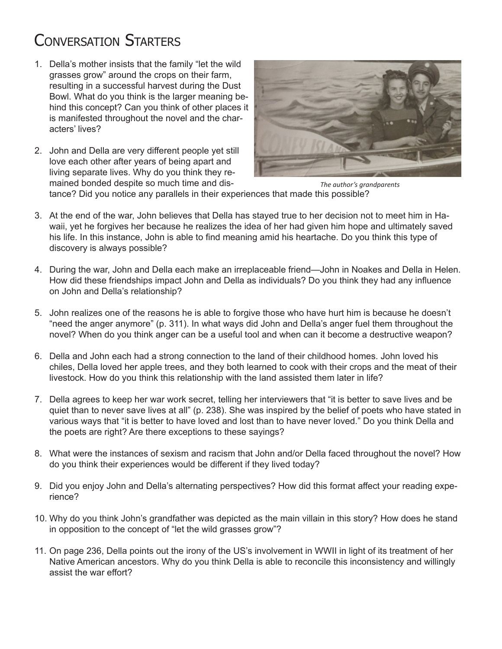## Conversation Starters

- 1. Della's mother insists that the family "let the wild grasses grow" around the crops on their farm, resulting in a successful harvest during the Dust Bowl. What do you think is the larger meaning behind this concept? Can you think of other places it is manifested throughout the novel and the characters' lives?
- 2. John and Della are very different people yet still love each other after years of being apart and living separate lives. Why do you think they remained bonded despite so much time and dis-



*The author's grandparents*

tance? Did you notice any parallels in their experiences that made this possible?

- 3. At the end of the war, John believes that Della has stayed true to her decision not to meet him in Hawaii, yet he forgives her because he realizes the idea of her had given him hope and ultimately saved his life. In this instance, John is able to find meaning amid his heartache. Do you think this type of discovery is always possible?
- 4. During the war, John and Della each make an irreplaceable friend—John in Noakes and Della in Helen. How did these friendships impact John and Della as individuals? Do you think they had any influence on John and Della's relationship?
- 5. John realizes one of the reasons he is able to forgive those who have hurt him is because he doesn't "need the anger anymore" (p. 311). In what ways did John and Della's anger fuel them throughout the novel? When do you think anger can be a useful tool and when can it become a destructive weapon?
- 6. Della and John each had a strong connection to the land of their childhood homes. John loved his chiles, Della loved her apple trees, and they both learned to cook with their crops and the meat of their livestock. How do you think this relationship with the land assisted them later in life?
- 7. Della agrees to keep her war work secret, telling her interviewers that "it is better to save lives and be quiet than to never save lives at all" (p. 238). She was inspired by the belief of poets who have stated in various ways that "it is better to have loved and lost than to have never loved." Do you think Della and the poets are right? Are there exceptions to these sayings?
- 8. What were the instances of sexism and racism that John and/or Della faced throughout the novel? How do you think their experiences would be different if they lived today?
- 9. Did you enjoy John and Della's alternating perspectives? How did this format affect your reading experience?
- 10. Why do you think John's grandfather was depicted as the main villain in this story? How does he stand in opposition to the concept of "let the wild grasses grow"?
- 11. On page 236, Della points out the irony of the US's involvement in WWII in light of its treatment of her Native American ancestors. Why do you think Della is able to reconcile this inconsistency and willingly assist the war effort?